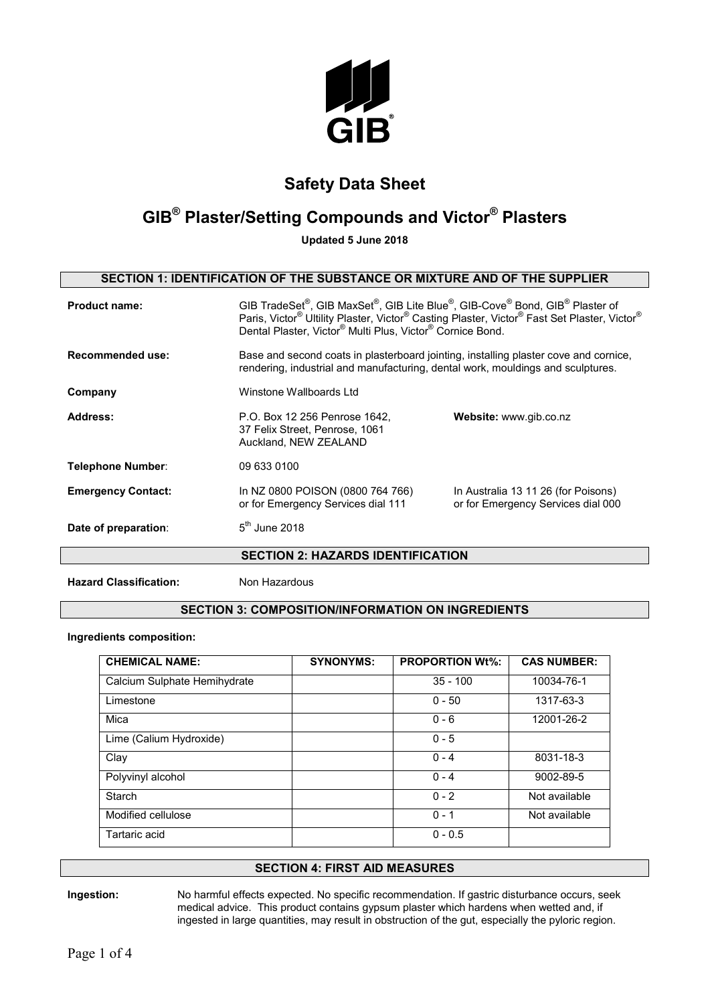

## **GIB® Plaster/Setting Compounds and Victor® Plasters**

**Updated 5 June 2018**

### **SECTION 1: IDENTIFICATION OF THE SUBSTANCE OR MIXTURE AND OF THE SUPPLIER**

| <b>Product name:</b>      | GIB TradeSet <sup>®</sup> , GIB MaxSet <sup>®</sup> , GIB Lite Blue <sup>®</sup> , GIB-Cove <sup>®</sup> Bond, GIB <sup>®</sup> Plaster of<br>Paris, Victor® Ultility Plaster, Victor® Casting Plaster, Victor® Fast Set Plaster, Victor®<br>Dental Plaster, Victor® Multi Plus, Victor® Cornice Bond. |                                                                           |
|---------------------------|--------------------------------------------------------------------------------------------------------------------------------------------------------------------------------------------------------------------------------------------------------------------------------------------------------|---------------------------------------------------------------------------|
| Recommended use:          | Base and second coats in plasterboard jointing, installing plaster cove and cornice,<br>rendering, industrial and manufacturing, dental work, mouldings and sculptures.                                                                                                                                |                                                                           |
| Company                   | Winstone Wallboards Ltd                                                                                                                                                                                                                                                                                |                                                                           |
| Address:                  | P.O. Box 12 256 Penrose 1642,<br>37 Felix Street, Penrose, 1061<br>Auckland, NEW ZEALAND                                                                                                                                                                                                               | Website: www.gib.co.nz                                                    |
| <b>Telephone Number:</b>  | 09 633 0100                                                                                                                                                                                                                                                                                            |                                                                           |
| <b>Emergency Contact:</b> | In NZ 0800 POISON (0800 764 766)<br>or for Emergency Services dial 111                                                                                                                                                                                                                                 | In Australia 13 11 26 (for Poisons)<br>or for Emergency Services dial 000 |
| Date of preparation:      | $5th$ June 2018                                                                                                                                                                                                                                                                                        |                                                                           |
|                           | <b>SECTION 2: HAZARDS IDENTIFICATION</b>                                                                                                                                                                                                                                                               |                                                                           |
|                           |                                                                                                                                                                                                                                                                                                        |                                                                           |

**Hazard Classification:** Non Hazardous

### **SECTION 3: COMPOSITION/INFORMATION ON INGREDIENTS**

**Ingredients composition:**

| <b>CHEMICAL NAME:</b>        | <b>SYNONYMS:</b> | <b>PROPORTION Wt%:</b> | <b>CAS NUMBER:</b> |
|------------------------------|------------------|------------------------|--------------------|
| Calcium Sulphate Hemihydrate |                  | $35 - 100$             | 10034-76-1         |
| Limestone                    |                  | $0 - 50$               | 1317-63-3          |
| Mica                         |                  | $0 - 6$                | 12001-26-2         |
| Lime (Calium Hydroxide)      |                  | $0 - 5$                |                    |
| Clay                         |                  | $0 - 4$                | 8031-18-3          |
| Polyvinyl alcohol            |                  | $0 - 4$                | 9002-89-5          |
| Starch                       |                  | $0 - 2$                | Not available      |
| Modified cellulose           |                  | $0 - 1$                | Not available      |
| Tartaric acid                |                  | $0 - 0.5$              |                    |

### **SECTION 4: FIRST AID MEASURES**

**Ingestion:** No harmful effects expected. No specific recommendation. If gastric disturbance occurs, seek medical advice. This product contains gypsum plaster which hardens when wetted and, if ingested in large quantities, may result in obstruction of the gut, especially the pyloric region.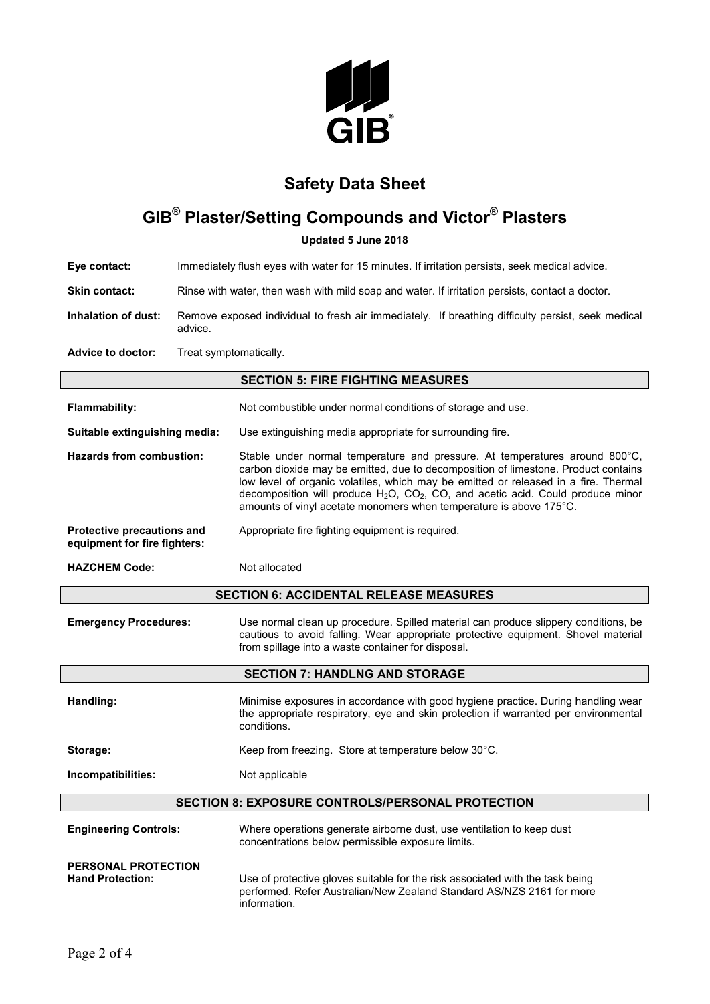

# **GIB® Plaster/Setting Compounds and Victor® Plasters**

**Updated 5 June 2018**

**Eye contact:** Immediately flush eyes with water for 15 minutes. If irritation persists, seek medical advice.

**Skin contact:** Rinse with water, then wash with mild soap and water. If irritation persists, contact a doctor.

**Inhalation of dust:** Remove exposed individual to fresh air immediately. If breathing difficulty persist, seek medical advice.

**Advice to doctor:** Treat symptomatically.

### **SECTION 5: FIRE FIGHTING MEASURES**

| <b>Flammability:</b>                                       | Not combustible under normal conditions of storage and use.                                                                                                                                                                                                                                                                                                                                                                |
|------------------------------------------------------------|----------------------------------------------------------------------------------------------------------------------------------------------------------------------------------------------------------------------------------------------------------------------------------------------------------------------------------------------------------------------------------------------------------------------------|
| Suitable extinguishing media:                              | Use extinguishing media appropriate for surrounding fire.                                                                                                                                                                                                                                                                                                                                                                  |
| Hazards from combustion:                                   | Stable under normal temperature and pressure. At temperatures around 800°C,<br>carbon dioxide may be emitted, due to decomposition of limestone. Product contains<br>low level of organic volatiles, which may be emitted or released in a fire. Thermal<br>decomposition will produce $H_2O$ , $CO_2$ , $CO$ , and acetic acid. Could produce minor<br>amounts of vinyl acetate monomers when temperature is above 175°C. |
| Protective precautions and<br>equipment for fire fighters: | Appropriate fire fighting equipment is required.                                                                                                                                                                                                                                                                                                                                                                           |

**HAZCHEM Code:** Not allocated

#### **SECTION 6: ACCIDENTAL RELEASE MEASURES**

**Emergency Procedures:** Use normal clean up procedure. Spilled material can produce slippery conditions, be cautious to avoid falling. Wear appropriate protective equipment. Shovel material from spillage into a waste container for disposal.

#### **SECTION 7: HANDLNG AND STORAGE**

| Handling:          | Minimise exposures in accordance with good hygiene practice. During handling wear<br>the appropriate respiratory, eye and skin protection if warranted per environmental<br>conditions. |  |
|--------------------|-----------------------------------------------------------------------------------------------------------------------------------------------------------------------------------------|--|
| Storage:           | Keep from freezing. Store at temperature below 30°C.                                                                                                                                    |  |
| Incompatibilities: | Not applicable                                                                                                                                                                          |  |
|                    |                                                                                                                                                                                         |  |

#### **SECTION 8: EXPOSURE CONTROLS/PERSONAL PROTECTION**

| <b>Engineering Controls:</b>                          | Where operations generate airborne dust, use ventilation to keep dust<br>concentrations below permissible exposure limits.                                             |
|-------------------------------------------------------|------------------------------------------------------------------------------------------------------------------------------------------------------------------------|
| <b>PERSONAL PROTECTION</b><br><b>Hand Protection:</b> | Use of protective gloves suitable for the risk associated with the task being<br>performed. Refer Australian/New Zealand Standard AS/NZS 2161 for more<br>information. |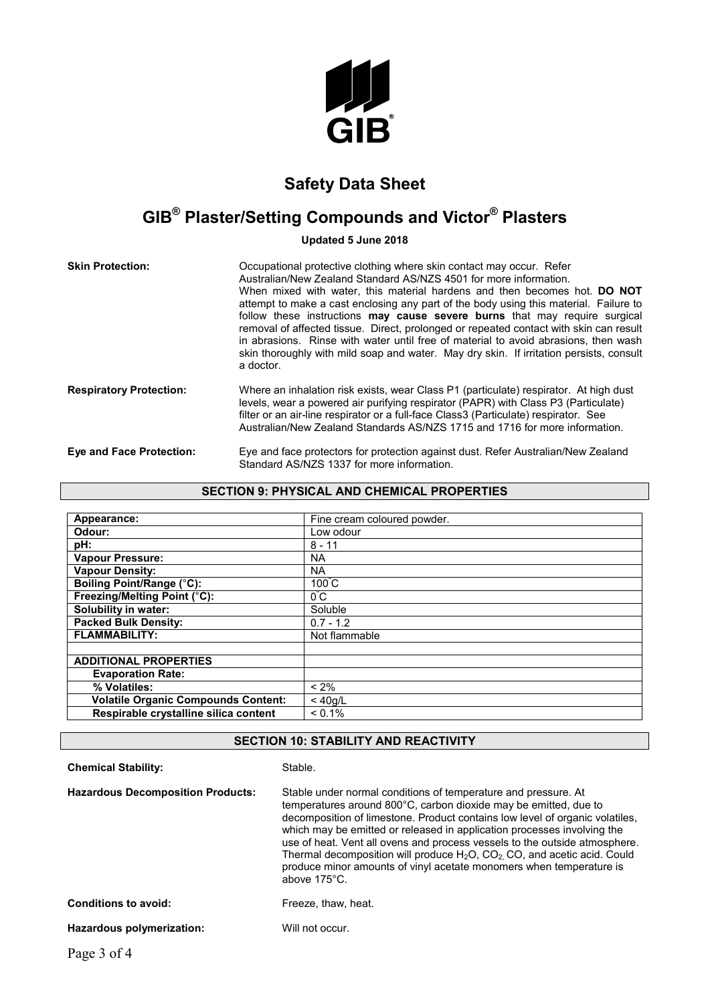

## **GIB® Plaster/Setting Compounds and Victor® Plasters**

**Updated 5 June 2018**

| <b>Skin Protection:</b>         | Occupational protective clothing where skin contact may occur. Refer<br>Australian/New Zealand Standard AS/NZS 4501 for more information.<br>When mixed with water, this material hardens and then becomes hot. <b>DO NOT</b><br>attempt to make a cast enclosing any part of the body using this material. Failure to<br>follow these instructions may cause severe burns that may require surgical<br>removal of affected tissue. Direct, prolonged or repeated contact with skin can result<br>in abrasions. Rinse with water until free of material to avoid abrasions, then wash<br>skin thoroughly with mild soap and water. May dry skin. If irritation persists, consult<br>a doctor. |
|---------------------------------|-----------------------------------------------------------------------------------------------------------------------------------------------------------------------------------------------------------------------------------------------------------------------------------------------------------------------------------------------------------------------------------------------------------------------------------------------------------------------------------------------------------------------------------------------------------------------------------------------------------------------------------------------------------------------------------------------|
| <b>Respiratory Protection:</b>  | Where an inhalation risk exists, wear Class P1 (particulate) respirator. At high dust<br>levels, wear a powered air purifying respirator (PAPR) with Class P3 (Particulate)<br>filter or an air-line respirator or a full-face Class3 (Particulate) respirator. See<br>Australian/New Zealand Standards AS/NZS 1715 and 1716 for more information.                                                                                                                                                                                                                                                                                                                                            |
| <b>Eye and Face Protection:</b> | Eye and face protectors for protection against dust. Refer Australian/New Zealand<br>Standard AS/NZS 1337 for more information.                                                                                                                                                                                                                                                                                                                                                                                                                                                                                                                                                               |

### **SECTION 9: PHYSICAL AND CHEMICAL PROPERTIES**

| Appearance:                                | Fine cream coloured powder. |
|--------------------------------------------|-----------------------------|
| Odour:                                     | Low odour                   |
| pH:                                        | $8 - 11$                    |
| <b>Vapour Pressure:</b>                    | NA.                         |
| <b>Vapour Density:</b>                     | NA.                         |
| <b>Boiling Point/Range (°C):</b>           | $100^{\circ}$ C             |
| Freezing/Melting Point (°C):               | $0^{\circ}C$                |
| Solubility in water:                       | Soluble                     |
| <b>Packed Bulk Density:</b>                | $0.7 - 1.2$                 |
| <b>FLAMMABILITY:</b>                       | Not flammable               |
|                                            |                             |
| <b>ADDITIONAL PROPERTIES</b>               |                             |
| <b>Evaporation Rate:</b>                   |                             |
| % Volatiles:                               | $< 2\%$                     |
| <b>Volatile Organic Compounds Content:</b> | $<$ 40g/L                   |
| Respirable crystalline silica content      | $< 0.1\%$                   |

### **SECTION 10: STABILITY AND REACTIVITY**

| <b>Chemical Stability:</b>               | Stable.                                                                                                                                                                                                                                                                                                                                                                                                                                                                                                                                               |
|------------------------------------------|-------------------------------------------------------------------------------------------------------------------------------------------------------------------------------------------------------------------------------------------------------------------------------------------------------------------------------------------------------------------------------------------------------------------------------------------------------------------------------------------------------------------------------------------------------|
| <b>Hazardous Decomposition Products:</b> | Stable under normal conditions of temperature and pressure. At<br>temperatures around 800°C, carbon dioxide may be emitted, due to<br>decomposition of limestone. Product contains low level of organic volatiles,<br>which may be emitted or released in application processes involving the<br>use of heat. Vent all ovens and process vessels to the outside atmosphere.<br>Thermal decomposition will produce $H_2O$ , $CO_2$ , CO, and acetic acid. Could<br>produce minor amounts of vinyl acetate monomers when temperature is<br>above 175°C. |
| <b>Conditions to avoid:</b>              | Freeze, thaw, heat.                                                                                                                                                                                                                                                                                                                                                                                                                                                                                                                                   |
| Hazardous polymerization:                | Will not occur.                                                                                                                                                                                                                                                                                                                                                                                                                                                                                                                                       |
|                                          |                                                                                                                                                                                                                                                                                                                                                                                                                                                                                                                                                       |